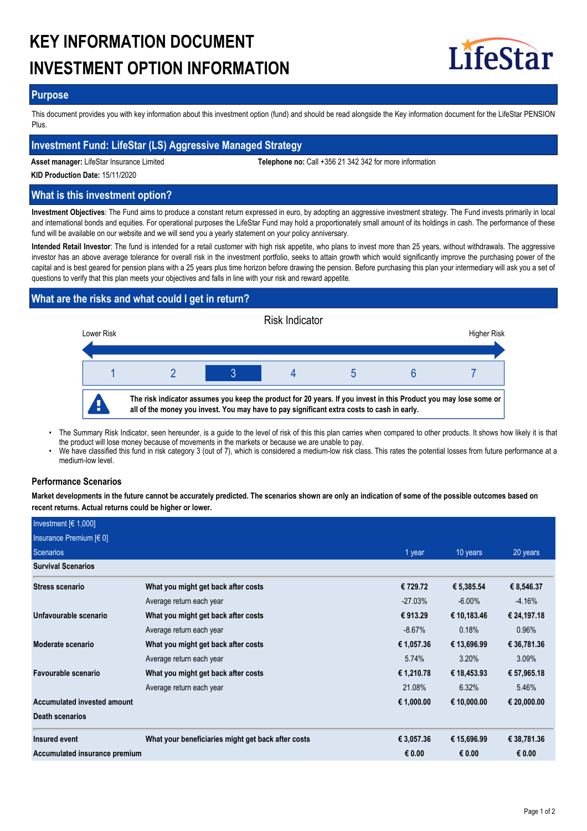# **KEY INFORMATION DOCUMENT INVESTMENT OPTION INFORMATION**



## **Purpose**

This document provides you with key information about this investment option (fund) and should be read alongside the Key information document for the LifeStar PENSION Plus.

## **Investment Fund: LifeStar (LS) Aggressive Managed Strategy**

**Asset manager:** LifeStar Insurance Limited **Telephone no:** Call +356 21 342 342 for more information

**KID Production Date:** 15/11/2020

# **What is this investment option?**

**Investment Objectives**: The Fund aims to produce a constant return expressed in euro, by adopting an aggressive investment strategy. The Fund invests primarily in local and international bonds and equities. For operational purposes the LifeStar Fund may hold a proportionately small amount of its holdings in cash. The performance of these fund will be available on our website and we will send you a yearly statement on your policy anniversary.

**Intended Retail Investor**: The fund is intended for a retail customer with high risk appetite, who plans to invest more than 25 years, without withdrawals. The aggressive investor has an above average tolerance for overall risk in the investment portfolio, seeks to attain growth which would significantly improve the purchasing power of the capital and is best geared for pension plans with a 25 years plus time horizon before drawing the pension. Before purchasing this plan your intermediary will ask you a set of questions to verify that this plan meets your objectives and falls in line with your risk and reward appetite.

# **What are the risks and what could I get in return?**



- The Summary Risk Indicator, seen hereunder, is a guide to the level of risk of this this plan carries when compared to other products. It shows how likely it is that the product will lose money because of movements in the markets or because we are unable to pay. •
- We have classified this fund in risk category 3 (out of 7), which is considered a medium-low risk class. This rates the potential losses from future performance at a medium-low level. •

## **Performance Scenarios**

**Market developments in the future cannot be accurately predicted. The scenarios shown are only an indication of some of the possible outcomes based on recent returns. Actual returns could be higher or lower.**

| Investment $[6 1,000]$        |                                                    |            |             |             |
|-------------------------------|----------------------------------------------------|------------|-------------|-------------|
| Insurance Premium $[6 0]$     |                                                    |            |             |             |
| Scenarios                     |                                                    | 1 year     | 10 years    | 20 years    |
| <b>Survival Scenarios</b>     |                                                    |            |             |             |
| <b>Stress scenario</b>        | What you might get back after costs                | € 729.72   | € 5,385.54  | € 8,546.37  |
|                               | Average return each year                           | $-27.03\%$ | $-6.00\%$   | $-4.16%$    |
| Unfavourable scenario         | What you might get back after costs                | € 913.29   | € 10,183.46 | € 24,197.18 |
|                               | Average return each year                           | $-8.67%$   | 0.18%       | 0.96%       |
| Moderate scenario             | What you might get back after costs                | € 1,057.36 | € 13,696.99 | € 36,781.36 |
|                               | Average return each year                           | 5.74%      | 3.20%       | 3.09%       |
| Favourable scenario           | What you might get back after costs                | € 1,210.78 | € 18,453.93 | € 57,965.18 |
|                               | Average return each year                           | 21.08%     | 6.32%       | 5.46%       |
| Accumulated invested amount   |                                                    | € 1,000.00 | € 10,000.00 | € 20,000.00 |
| <b>Death scenarios</b>        |                                                    |            |             |             |
| Insured event                 | What your beneficiaries might get back after costs | € 3,057.36 | € 15,696.99 | € 38,781.36 |
| Accumulated insurance premium |                                                    | € 0.00     | € 0.00      | € 0.00      |